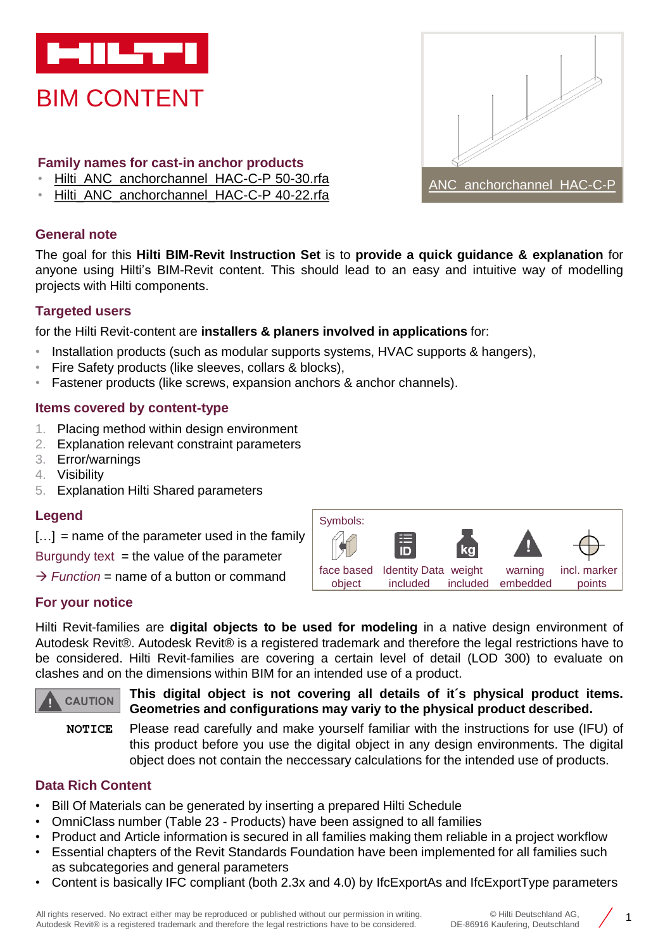

BIM CONTENT

- **Family names for cast-in anchor products**
- [Hilti\\_ANC\\_anchorchannel\\_HAC-C-P 50-30.rfa](https://www.bimobject.com/hilti/product/hac_c_p_hot_rolled)
- [Hilti\\_ANC\\_anchorchannel\\_HAC-C-P 40-22.rfa](https://www.bimobject.com/hilti/product/hac_c_p_hot_rolled)

### **General note**

The goal for this **Hilti BIM-Revit Instruction Set** is to **provide a quick guidance & explanation** for anyone using Hilti's BIM-Revit content. This should lead to an easy and intuitive way of modelling projects with Hilti components.

### **Targeted users**

for the Hilti Revit-content are **installers & planers involved in applications** for:

- Installation products (such as modular supports systems, HVAC supports & hangers),
- Fire Safety products (like sleeves, collars & blocks),
- Fastener products (like screws, expansion anchors & anchor channels).

### **Items covered by content-type**

- 1. Placing method within design environment
- 2. Explanation relevant constraint parameters
- 3. Error/warnings
- 4. Visibility
- 5. Explanation Hilti Shared parameters

#### **Legend**

 $[...]$  = name of the parameter used in the family

Burgundy text *=* the value of the parameter

 $\rightarrow$  *Function* = name of a button or command



ANC anchorchannel HAC-C-

### **For your notice**

Hilti Revit-families are **digital objects to be used for modeling** in a native design environment of Autodesk Revit®. Autodesk Revit® is a registered trademark and therefore the legal restrictions have to be considered. Hilti Revit-families are covering a certain level of detail (LOD 300) to evaluate on clashes and on the dimensions within BIM for an intended use of a product.



**This digital object is not covering all details of it´s physical product items. Geometries and configurations may variy to the physical product described.**

**NOTICE** Please read carefully and make yourself familiar with the instructions for use (IFU) of this product before you use the digital object in any design environments. The digital object does not contain the neccessary calculations for the intended use of products.

## **Data Rich Content**

- Bill Of Materials can be generated by inserting a prepared Hilti Schedule
- OmniClass number (Table 23 Products) have been assigned to all families
- Product and Article information is secured in all families making them reliable in a project workflow
- Essential chapters of the Revit Standards Foundation have been implemented for all families such as subcategories and general parameters
- Content is basically IFC compliant (both 2.3x and 4.0) by IfcExportAs and IfcExportType parameters

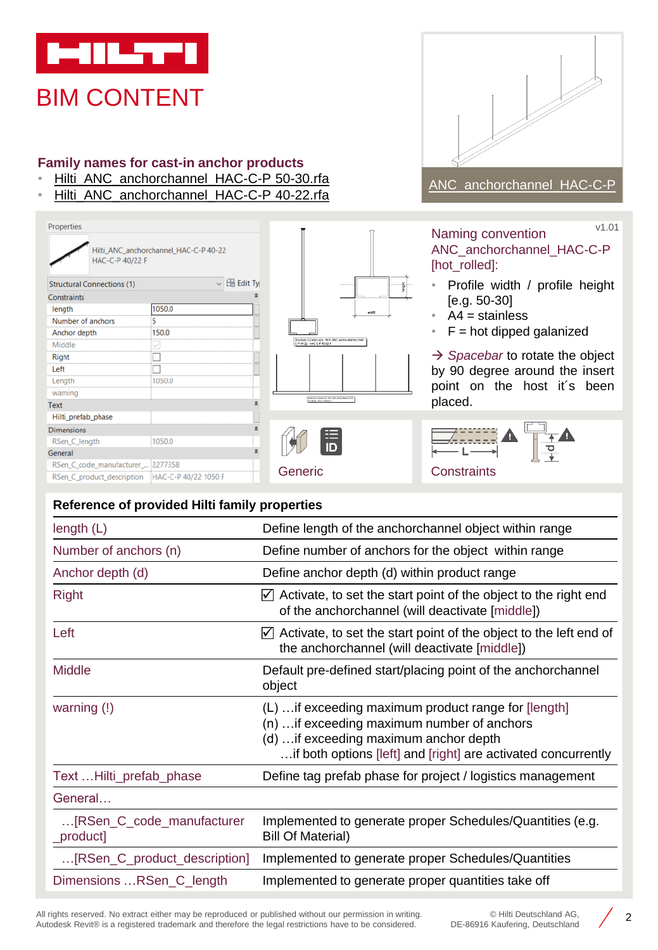

HAC-C-P 40/22 F

**Structural Connections (1)** 

Properties

Constraints

Anchor depth

Hilti\_prefab\_phase

RSen\_C\_code\_manufacturer\_... 2277358

RSen\_C\_product\_description HAC-C-P 40/22 1050 F

length Number of anchors

Middle

Right Left

Length warning

**Dimensions** RSen\_C\_length

General

Text

### **Family names for cast-in anchor products**

Hilti\_ANC\_anchorchannel\_HAC-C-P 40-22

1050.0

150.0

 $\overline{5}$ 

 $\Box$ 

□ 1050.0

1050.0

- [Hilti\\_ANC\\_anchorchannel\\_HAC-C-P 50-30.rfa](https://www.bimobject.com/hilti/product/hac_c_p_hot_rolled)
- [Hilti\\_ANC\\_anchorchannel\\_HAC-C-P 40-22.rfa](https://www.bimobject.com/hilti/product/hac_c_p_hot_rolled)

 $\overline{\smile}$   $\boxplus$  Edit Ty

 $\hat{\mathbf{x}}$ 

 $\hat{\mathbf{z}}$ 



# [ANC\\_anchorchannel\\_HAC-C-P](https://www.bimobject.com/hilti/product/hac_c_p_hot_rolled)

Naming convention ANC\_anchorchannel\_HAC-C-P [hot\_rolled]: v1.01

- Profile width / profile height [e.g. 50-30]
- $\cdot$  A4 = stainless

 $\frac{1}{2}$ 

.<br>- ANC\_anchorchannel\_HAC-

Structural<br>C-P 40-32 omechon<br>HAC-C-B-4  $\cdot$  F = hot dipped galanized

→ *Spacebar* to rotate the object by 90 degree around the insert point on the host it´s been placed.



| raints |  |
|--------|--|

| Reference of provided Hilti family properties |                                                                                                                                                                                                                |  |  |
|-----------------------------------------------|----------------------------------------------------------------------------------------------------------------------------------------------------------------------------------------------------------------|--|--|
| length $(L)$                                  | Define length of the anchorchannel object within range                                                                                                                                                         |  |  |
| Number of anchors (n)                         | Define number of anchors for the object within range                                                                                                                                                           |  |  |
| Anchor depth (d)                              | Define anchor depth (d) within product range                                                                                                                                                                   |  |  |
| <b>Right</b>                                  | $\triangledown$ Activate, to set the start point of the object to the right end<br>of the anchorchannel (will deactivate [middle])                                                                             |  |  |
| Left                                          | $\nabla$ Activate, to set the start point of the object to the left end of<br>the anchorchannel (will deactivate [middle])                                                                                     |  |  |
| <b>Middle</b>                                 | Default pre-defined start/placing point of the anchorchannel<br>object                                                                                                                                         |  |  |
| warning $(!)$                                 | (L)  if exceeding maximum product range for [length]<br>(n)  if exceeding maximum number of anchors<br>(d)  if exceeding maximum anchor depth<br>if both options [left] and [right] are activated concurrently |  |  |
| Text  Hilti_prefab_phase                      | Define tag prefab phase for project / logistics management                                                                                                                                                     |  |  |
| General                                       |                                                                                                                                                                                                                |  |  |
| [RSen_C_code_manufacturer<br>_product]        | Implemented to generate proper Schedules/Quantities (e.g.<br><b>Bill Of Material)</b>                                                                                                                          |  |  |
| [RSen_C_product_description]                  | Implemented to generate proper Schedules/Quantities                                                                                                                                                            |  |  |
| Dimensions RSen_C_length                      | Implemented to generate proper quantities take off                                                                                                                                                             |  |  |

All rights reserved. No extract either may be reproduced or published without our permission in writing. Autodesk Revit® is a registered trademark and therefore the legal restrictions have to be considered.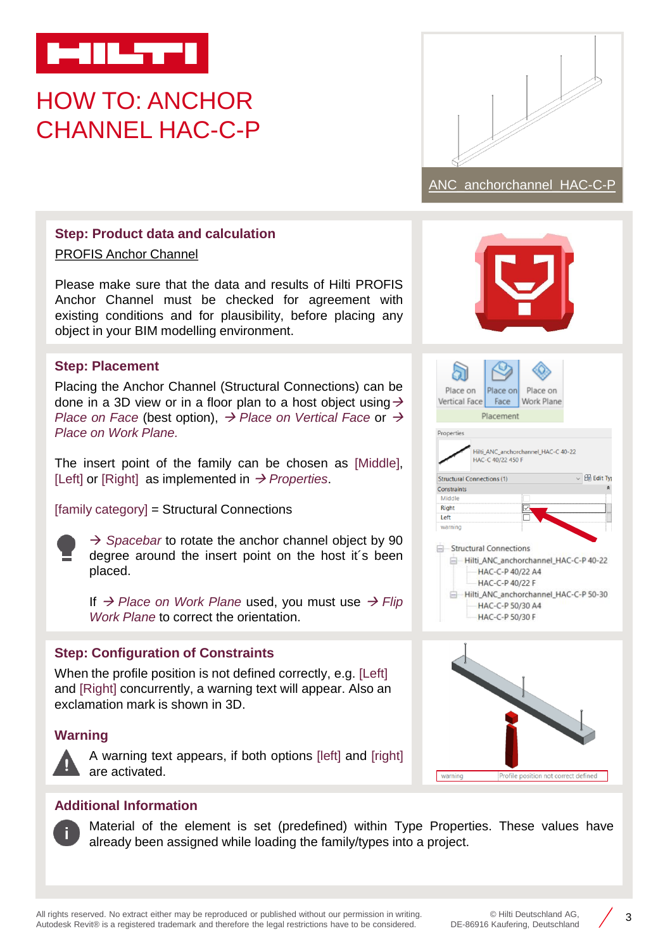

# HOW TO: ANCHOR CHANNEL HAC-C-P



# **Step: Product data and calculation**

PROFIS Anchor [Channel](https://www.hilti.de/c/CLS_CUSTOMER_SOFTWARE/CLS__SOFTWARE_FASTENING_SYSTEMS/r3604720?itemCode=2097334)

Please make sure that the data and results of Hilti PROFIS Anchor Channel must be checked for agreement with existing conditions and for plausibility, before placing any object in your BIM modelling environment.

### **Step: Placement**

Placing the Anchor Channel (Structural Connections) can be done in a 3D view or in a floor plan to a host object using  $\rightarrow$ *Place on Face* (best option), → *Place on Vertical Face* or → *Place on Work Plane.*

The insert point of the family can be chosen as [Middle], [Left] or [Right] as implemented in → *Properties*.

[family category] = Structural Connections



→ *Spacebar* to rotate the anchor channel object by 90 degree around the insert point on the host it´s been placed.

If → *Place on Work Plane* used, you must use → *Flip Work Plane* to correct the orientation.

### **Step: Configuration of Constraints**

When the profile position is not defined correctly, e.g. [Left] and [Right] concurrently, a warning text will appear. Also an exclamation mark is shown in 3D.

### **Warning**



A warning text appears, if both options [left] and [right] are activated.



| Place on                          |                        | Place on Place on                     |                 |
|-----------------------------------|------------------------|---------------------------------------|-----------------|
| Vertical Face                     | Face                   | Work Plane                            |                 |
|                                   | Placement              |                                       |                 |
| Properties                        |                        |                                       |                 |
|                                   | HAC-C 40/22 450 F      | Hilti_ANC_anchorchannel_HAC-C 40-22   |                 |
| <b>Structural Connections (1)</b> |                        |                                       | <b>Edit Typ</b> |
| Constraints<br>Middle             |                        |                                       |                 |
| <b>Right</b>                      |                        |                                       |                 |
| Left                              |                        |                                       |                 |
| warning                           |                        |                                       |                 |
|                                   | Structural Connections |                                       |                 |
|                                   |                        | Hilti_ANC_anchorchannel_HAC-C-P 40-22 |                 |
|                                   | HAC-C-P 40/22 A4       |                                       |                 |
|                                   | HAC-C-P 40/22 F        |                                       |                 |
|                                   |                        | Hilti ANC anchorchannel HAC-C-P 50-30 |                 |
|                                   | HAC-C-P 50/30 A4       |                                       |                 |
|                                   | HAC-C-P 50/30 F        |                                       |                 |



### **Additional Information**

Material of the element is set (predefined) within Type Properties. These values have already been assigned while loading the family/types into a project.